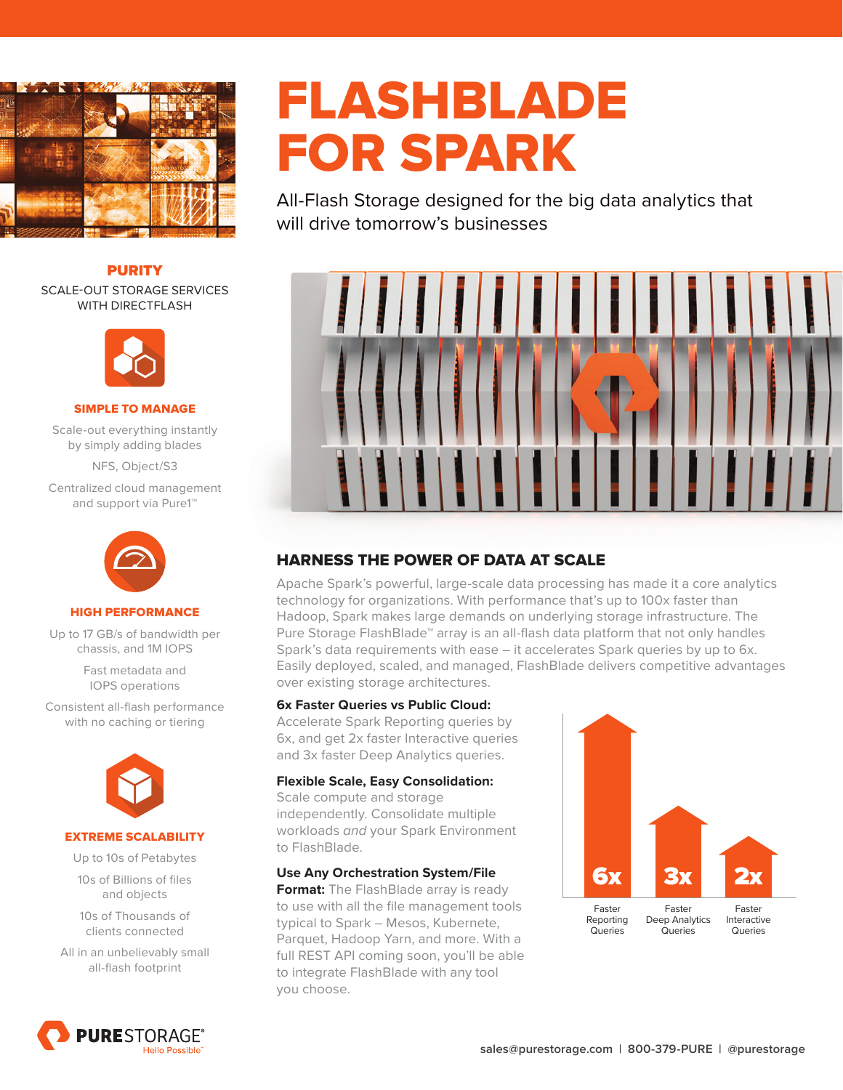

#### PURITY

SCALE-OUT STORAGE SERVICES WITH DIRECTFLASH



#### SIMPLE TO MANAGE

Scale-out everything instantly by simply adding blades

NFS, Object/S3

Centralized cloud management and support via Pure1™



#### HIGH PERFORMANCE

Up to 17 GB/s of bandwidth per chassis, and 1M IOPS

> Fast metadata and IOPS operations

Consistent all-flash performance with no caching or tiering



#### EXTREME SCALABILITY

Up to 10s of Petabytes 10s of Billions of files and objects

10s of Thousands of clients connected

All in an unbelievably small all-flash footprint



# FLASHBLADE FOR SPARK

All-Flash Storage designed for the big data analytics that will drive tomorrow's businesses



# HARNESS THE POWER OF DATA AT SCALE

Apache Spark's powerful, large-scale data processing has made it a core analytics technology for organizations. With performance that's up to 100x faster than Hadoop, Spark makes large demands on underlying storage infrastructure. The Pure Storage FlashBlade™ array is an all-flash data platform that not only handles Spark's data requirements with ease – it accelerates Spark queries by up to 6x. Easily deployed, scaled, and managed, FlashBlade delivers competitive advantages over existing storage architectures.

#### **6x Faster Queries vs Public Cloud:**

Accelerate Spark Reporting queries by 6x, and get 2x faster Interactive queries and 3x faster Deep Analytics queries.

#### **Flexible Scale, Easy Consolidation:**

Scale compute and storage independently. Consolidate multiple workloads and your Spark Environment to FlashBlade.

#### **Use Any Orchestration System/File**

**Format:** The FlashBlade array is ready to use with all the file management tools typical to Spark – Mesos, Kubernete, Parquet, Hadoop Yarn, and more. With a full REST API coming soon, you'll be able to integrate FlashBlade with any tool you choose.